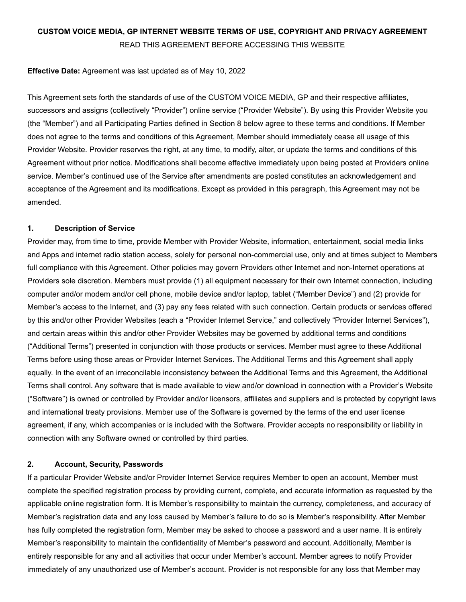# **CUSTOM VOICE MEDIA, GP INTERNET WEBSITE TERMS OF USE, COPYRIGHT AND PRIVACY AGREEMENT** READ THIS AGREEMENT BEFORE ACCESSING THIS WEBSITE

## **Effective Date:** Agreement was last updated as of May 10, 2022

This Agreement sets forth the standards of use of the CUSTOM VOICE MEDIA, GP and their respective affiliates, successors and assigns (collectively "Provider") online service ("Provider Website"). By using this Provider Website you (the "Member") and all Participating Parties defined in Section 8 below agree to these terms and conditions. If Member does not agree to the terms and conditions of this Agreement, Member should immediately cease all usage of this Provider Website. Provider reserves the right, at any time, to modify, alter, or update the terms and conditions of this Agreement without prior notice. Modifications shall become effective immediately upon being posted at Providers online service. Member's continued use of the Service after amendments are posted constitutes an acknowledgement and acceptance of the Agreement and its modifications. Except as provided in this paragraph, this Agreement may not be amended.

## **1. Description of Service**

Provider may, from time to time, provide Member with Provider Website, information, entertainment, social media links and Apps and internet radio station access, solely for personal non-commercial use, only and at times subject to Members full compliance with this Agreement. Other policies may govern Providers other Internet and non-Internet operations at Providers sole discretion. Members must provide (1) all equipment necessary for their own Internet connection, including computer and/or modem and/or cell phone, mobile device and/or laptop, tablet ("Member Device") and (2) provide for Member's access to the Internet, and (3) pay any fees related with such connection. Certain products or services offered by this and/or other Provider Websites (each a "Provider Internet Service," and collectively "Provider Internet Services"), and certain areas within this and/or other Provider Websites may be governed by additional terms and conditions ("Additional Terms") presented in conjunction with those products or services. Member must agree to these Additional Terms before using those areas or Provider Internet Services. The Additional Terms and this Agreement shall apply equally. In the event of an irreconcilable inconsistency between the Additional Terms and this Agreement, the Additional Terms shall control. Any software that is made available to view and/or download in connection with a Provider's Website ("Software") is owned or controlled by Provider and/or licensors, affiliates and suppliers and is protected by copyright laws and international treaty provisions. Member use of the Software is governed by the terms of the end user license agreement, if any, which accompanies or is included with the Software. Provider accepts no responsibility or liability in connection with any Software owned or controlled by third parties.

## **2. Account, Security, Passwords**

If a particular Provider Website and/or Provider Internet Service requires Member to open an account, Member must complete the specified registration process by providing current, complete, and accurate information as requested by the applicable online registration form. It is Member's responsibility to maintain the currency, completeness, and accuracy of Member's registration data and any loss caused by Member's failure to do so is Member's responsibility. After Member has fully completed the registration form, Member may be asked to choose a password and a user name. It is entirely Member's responsibility to maintain the confidentiality of Member's password and account. Additionally, Member is entirely responsible for any and all activities that occur under Member's account. Member agrees to notify Provider immediately of any unauthorized use of Member's account. Provider is not responsible for any loss that Member may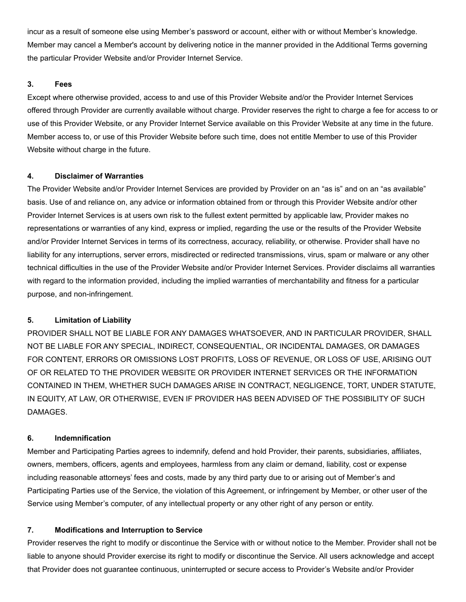incur as a result of someone else using Member's password or account, either with or without Member's knowledge. Member may cancel a Member's account by delivering notice in the manner provided in the Additional Terms governing the particular Provider Website and/or Provider Internet Service.

## **3. Fees**

Except where otherwise provided, access to and use of this Provider Website and/or the Provider Internet Services offered through Provider are currently available without charge. Provider reserves the right to charge a fee for access to or use of this Provider Website, or any Provider Internet Service available on this Provider Website at any time in the future. Member access to, or use of this Provider Website before such time, does not entitle Member to use of this Provider Website without charge in the future.

# **4. Disclaimer of Warranties**

The Provider Website and/or Provider Internet Services are provided by Provider on an "as is" and on an "as available" basis. Use of and reliance on, any advice or information obtained from or through this Provider Website and/or other Provider Internet Services is at users own risk to the fullest extent permitted by applicable law, Provider makes no representations or warranties of any kind, express or implied, regarding the use or the results of the Provider Website and/or Provider Internet Services in terms of its correctness, accuracy, reliability, or otherwise. Provider shall have no liability for any interruptions, server errors, misdirected or redirected transmissions, virus, spam or malware or any other technical difficulties in the use of the Provider Website and/or Provider Internet Services. Provider disclaims all warranties with regard to the information provided, including the implied warranties of merchantability and fitness for a particular purpose, and non-infringement.

# **5. Limitation of Liability**

PROVIDER SHALL NOT BE LIABLE FOR ANY DAMAGES WHATSOEVER, AND IN PARTICULAR PROVIDER, SHALL NOT BE LIABLE FOR ANY SPECIAL, INDIRECT, CONSEQUENTIAL, OR INCIDENTAL DAMAGES, OR DAMAGES FOR CONTENT, ERRORS OR OMISSIONS LOST PROFITS, LOSS OF REVENUE, OR LOSS OF USE, ARISING OUT OF OR RELATED TO THE PROVIDER WEBSITE OR PROVIDER INTERNET SERVICES OR THE INFORMATION CONTAINED IN THEM, WHETHER SUCH DAMAGES ARISE IN CONTRACT, NEGLIGENCE, TORT, UNDER STATUTE, IN EQUITY, AT LAW, OR OTHERWISE, EVEN IF PROVIDER HAS BEEN ADVISED OF THE POSSIBILITY OF SUCH **DAMAGES** 

# **6. Indemnification**

Member and Participating Parties agrees to indemnify, defend and hold Provider, their parents, subsidiaries, affiliates, owners, members, officers, agents and employees, harmless from any claim or demand, liability, cost or expense including reasonable attorneys' fees and costs, made by any third party due to or arising out of Member's and Participating Parties use of the Service, the violation of this Agreement, or infringement by Member, or other user of the Service using Member's computer, of any intellectual property or any other right of any person or entity.

# **7. Modifications and Interruption to Service**

Provider reserves the right to modify or discontinue the Service with or without notice to the Member. Provider shall not be liable to anyone should Provider exercise its right to modify or discontinue the Service. All users acknowledge and accept that Provider does not guarantee continuous, uninterrupted or secure access to Provider's Website and/or Provider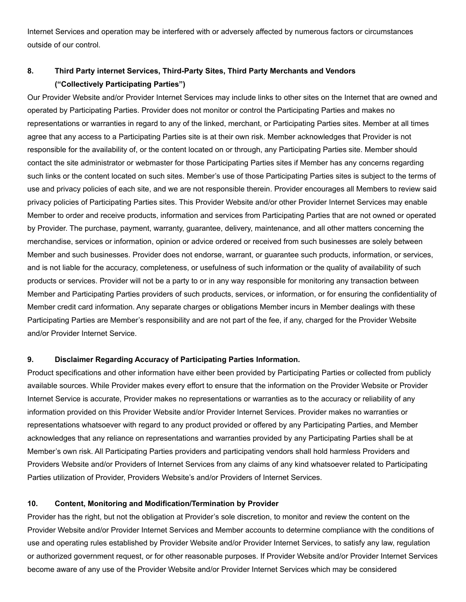Internet Services and operation may be interfered with or adversely affected by numerous factors or circumstances outside of our control.

# **8. Third Party internet Services, Third-Party Sites, Third Party Merchants and Vendors ("Collectively Participating Parties")**

Our Provider Website and/or Provider Internet Services may include links to other sites on the Internet that are owned and operated by Participating Parties. Provider does not monitor or control the Participating Parties and makes no representations or warranties in regard to any of the linked, merchant, or Participating Parties sites. Member at all times agree that any access to a Participating Parties site is at their own risk. Member acknowledges that Provider is not responsible for the availability of, or the content located on or through, any Participating Parties site. Member should contact the site administrator or webmaster for those Participating Parties sites if Member has any concerns regarding such links or the content located on such sites. Member's use of those Participating Parties sites is subject to the terms of use and privacy policies of each site, and we are not responsible therein. Provider encourages all Members to review said privacy policies of Participating Parties sites. This Provider Website and/or other Provider Internet Services may enable Member to order and receive products, information and services from Participating Parties that are not owned or operated by Provider. The purchase, payment, warranty, guarantee, delivery, maintenance, and all other matters concerning the merchandise, services or information, opinion or advice ordered or received from such businesses are solely between Member and such businesses. Provider does not endorse, warrant, or guarantee such products, information, or services, and is not liable for the accuracy, completeness, or usefulness of such information or the quality of availability of such products or services. Provider will not be a party to or in any way responsible for monitoring any transaction between Member and Participating Parties providers of such products, services, or information, or for ensuring the confidentiality of Member credit card information. Any separate charges or obligations Member incurs in Member dealings with these Participating Parties are Member's responsibility and are not part of the fee, if any, charged for the Provider Website and/or Provider Internet Service.

## **9. Disclaimer Regarding Accuracy of Participating Parties Information.**

Product specifications and other information have either been provided by Participating Parties or collected from publicly available sources. While Provider makes every effort to ensure that the information on the Provider Website or Provider Internet Service is accurate, Provider makes no representations or warranties as to the accuracy or reliability of any information provided on this Provider Website and/or Provider Internet Services. Provider makes no warranties or representations whatsoever with regard to any product provided or offered by any Participating Parties, and Member acknowledges that any reliance on representations and warranties provided by any Participating Parties shall be at Member's own risk. All Participating Parties providers and participating vendors shall hold harmless Providers and Providers Website and/or Providers of Internet Services from any claims of any kind whatsoever related to Participating Parties utilization of Provider, Providers Website's and/or Providers of Internet Services.

## **10. Content, Monitoring and Modification/Termination by Provider**

Provider has the right, but not the obligation at Provider's sole discretion, to monitor and review the content on the Provider Website and/or Provider Internet Services and Member accounts to determine compliance with the conditions of use and operating rules established by Provider Website and/or Provider Internet Services, to satisfy any law, regulation or authorized government request, or for other reasonable purposes. If Provider Website and/or Provider Internet Services become aware of any use of the Provider Website and/or Provider Internet Services which may be considered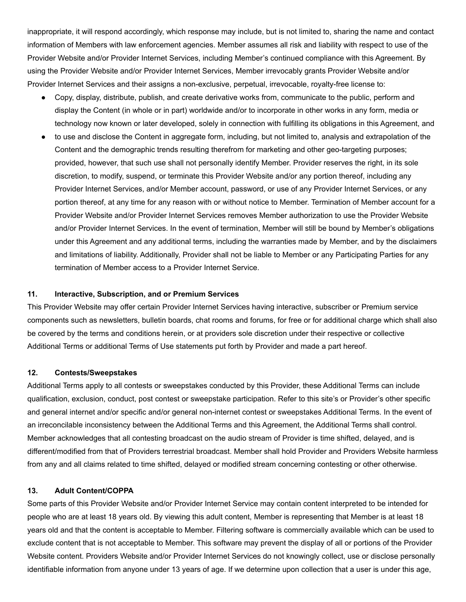inappropriate, it will respond accordingly, which response may include, but is not limited to, sharing the name and contact information of Members with law enforcement agencies. Member assumes all risk and liability with respect to use of the Provider Website and/or Provider Internet Services, including Member's continued compliance with this Agreement. By using the Provider Website and/or Provider Internet Services, Member irrevocably grants Provider Website and/or Provider Internet Services and their assigns a non-exclusive, perpetual, irrevocable, royalty-free license to:

- Copy, display, distribute, publish, and create derivative works from, communicate to the public, perform and display the Content (in whole or in part) worldwide and/or to incorporate in other works in any form, media or technology now known or later developed, solely in connection with fulfilling its obligations in this Agreement, and
- to use and disclose the Content in aggregate form, including, but not limited to, analysis and extrapolation of the Content and the demographic trends resulting therefrom for marketing and other geo-targeting purposes; provided, however, that such use shall not personally identify Member. Provider reserves the right, in its sole discretion, to modify, suspend, or terminate this Provider Website and/or any portion thereof, including any Provider Internet Services, and/or Member account, password, or use of any Provider Internet Services, or any portion thereof, at any time for any reason with or without notice to Member. Termination of Member account for a Provider Website and/or Provider Internet Services removes Member authorization to use the Provider Website and/or Provider Internet Services. In the event of termination, Member will still be bound by Member's obligations under this Agreement and any additional terms, including the warranties made by Member, and by the disclaimers and limitations of liability. Additionally, Provider shall not be liable to Member or any Participating Parties for any termination of Member access to a Provider Internet Service.

#### **11. Interactive, Subscription, and or Premium Services**

This Provider Website may offer certain Provider Internet Services having interactive, subscriber or Premium service components such as newsletters, bulletin boards, chat rooms and forums, for free or for additional charge which shall also be covered by the terms and conditions herein, or at providers sole discretion under their respective or collective Additional Terms or additional Terms of Use statements put forth by Provider and made a part hereof.

## **12. Contests/Sweepstakes**

Additional Terms apply to all contests or sweepstakes conducted by this Provider, these Additional Terms can include qualification, exclusion, conduct, post contest or sweepstake participation. Refer to this site's or Provider's other specific and general internet and/or specific and/or general non-internet contest or sweepstakes Additional Terms. In the event of an irreconcilable inconsistency between the Additional Terms and this Agreement, the Additional Terms shall control. Member acknowledges that all contesting broadcast on the audio stream of Provider is time shifted, delayed, and is different/modified from that of Providers terrestrial broadcast. Member shall hold Provider and Providers Website harmless from any and all claims related to time shifted, delayed or modified stream concerning contesting or other otherwise.

## **13. Adult Content/COPPA**

Some parts of this Provider Website and/or Provider Internet Service may contain content interpreted to be intended for people who are at least 18 years old. By viewing this adult content, Member is representing that Member is at least 18 years old and that the content is acceptable to Member. Filtering software is commercially available which can be used to exclude content that is not acceptable to Member. This software may prevent the display of all or portions of the Provider Website content. Providers Website and/or Provider Internet Services do not knowingly collect, use or disclose personally identifiable information from anyone under 13 years of age. If we determine upon collection that a user is under this age,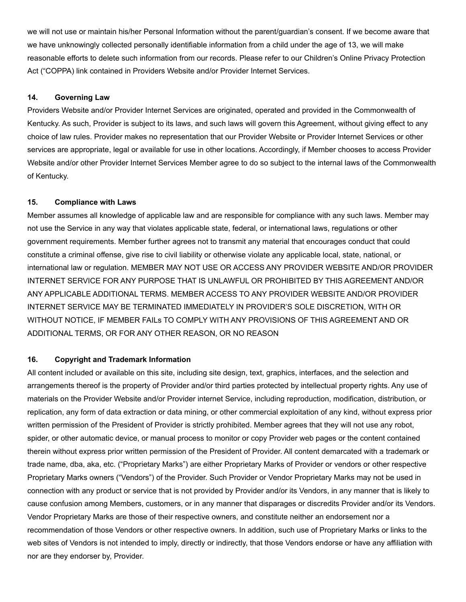we will not use or maintain his/her Personal Information without the parent/guardian's consent. If we become aware that we have unknowingly collected personally identifiable information from a child under the age of 13, we will make reasonable efforts to delete such information from our records. Please refer to our Children's Online Privacy Protection Act ("COPPA) link contained in Providers Website and/or Provider Internet Services.

## **14. Governing Law**

Providers Website and/or Provider Internet Services are originated, operated and provided in the Commonwealth of Kentucky. As such, Provider is subject to its laws, and such laws will govern this Agreement, without giving effect to any choice of law rules. Provider makes no representation that our Provider Website or Provider Internet Services or other services are appropriate, legal or available for use in other locations. Accordingly, if Member chooses to access Provider Website and/or other Provider Internet Services Member agree to do so subject to the internal laws of the Commonwealth of Kentucky.

# **15. Compliance with Laws**

Member assumes all knowledge of applicable law and are responsible for compliance with any such laws. Member may not use the Service in any way that violates applicable state, federal, or international laws, regulations or other government requirements. Member further agrees not to transmit any material that encourages conduct that could constitute a criminal offense, give rise to civil liability or otherwise violate any applicable local, state, national, or international law or regulation. MEMBER MAY NOT USE OR ACCESS ANY PROVIDER WEBSITE AND/OR PROVIDER INTERNET SERVICE FOR ANY PURPOSE THAT IS UNLAWFUL OR PROHIBITED BY THIS AGREEMENT AND/OR ANY APPLICABLE ADDITIONAL TERMS. MEMBER ACCESS TO ANY PROVIDER WEBSITE AND/OR PROVIDER INTERNET SERVICE MAY BE TERMINATED IMMEDIATELY IN PROVIDER'S SOLE DISCRETION, WITH OR WITHOUT NOTICE, IF MEMBER FAILs TO COMPLY WITH ANY PROVISIONS OF THIS AGREEMENT AND OR ADDITIONAL TERMS, OR FOR ANY OTHER REASON, OR NO REASON

## **16. Copyright and Trademark Information**

All content included or available on this site, including site design, text, graphics, interfaces, and the selection and arrangements thereof is the property of Provider and/or third parties protected by intellectual property rights. Any use of materials on the Provider Website and/or Provider internet Service, including reproduction, modification, distribution, or replication, any form of data extraction or data mining, or other commercial exploitation of any kind, without express prior written permission of the President of Provider is strictly prohibited. Member agrees that they will not use any robot, spider, or other automatic device, or manual process to monitor or copy Provider web pages or the content contained therein without express prior written permission of the President of Provider. All content demarcated with a trademark or trade name, dba, aka, etc. ("Proprietary Marks") are either Proprietary Marks of Provider or vendors or other respective Proprietary Marks owners ("Vendors") of the Provider. Such Provider or Vendor Proprietary Marks may not be used in connection with any product or service that is not provided by Provider and/or its Vendors, in any manner that is likely to cause confusion among Members, customers, or in any manner that disparages or discredits Provider and/or its Vendors. Vendor Proprietary Marks are those of their respective owners, and constitute neither an endorsement nor a recommendation of those Vendors or other respective owners. In addition, such use of Proprietary Marks or links to the web sites of Vendors is not intended to imply, directly or indirectly, that those Vendors endorse or have any affiliation with nor are they endorser by, Provider.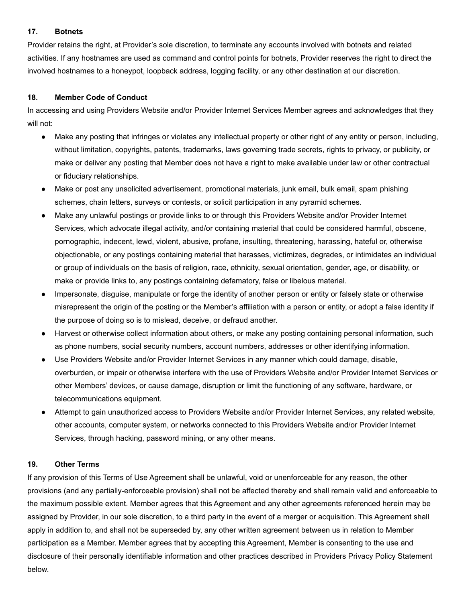# **17. Botnets**

Provider retains the right, at Provider's sole discretion, to terminate any accounts involved with botnets and related activities. If any hostnames are used as command and control points for botnets, Provider reserves the right to direct the involved hostnames to a honeypot, loopback address, logging facility, or any other destination at our discretion.

# **18. Member Code of Conduct**

In accessing and using Providers Website and/or Provider Internet Services Member agrees and acknowledges that they will not:

- Make any posting that infringes or violates any intellectual property or other right of any entity or person, including, without limitation, copyrights, patents, trademarks, laws governing trade secrets, rights to privacy, or publicity, or make or deliver any posting that Member does not have a right to make available under law or other contractual or fiduciary relationships.
- Make or post any unsolicited advertisement, promotional materials, junk email, bulk email, spam phishing schemes, chain letters, surveys or contests, or solicit participation in any pyramid schemes.
- Make any unlawful postings or provide links to or through this Providers Website and/or Provider Internet Services, which advocate illegal activity, and/or containing material that could be considered harmful, obscene, pornographic, indecent, lewd, violent, abusive, profane, insulting, threatening, harassing, hateful or, otherwise objectionable, or any postings containing material that harasses, victimizes, degrades, or intimidates an individual or group of individuals on the basis of religion, race, ethnicity, sexual orientation, gender, age, or disability, or make or provide links to, any postings containing defamatory, false or libelous material.
- Impersonate, disguise, manipulate or forge the identity of another person or entity or falsely state or otherwise misrepresent the origin of the posting or the Member's affiliation with a person or entity, or adopt a false identity if the purpose of doing so is to mislead, deceive, or defraud another.
- Harvest or otherwise collect information about others, or make any posting containing personal information, such as phone numbers, social security numbers, account numbers, addresses or other identifying information.
- Use Providers Website and/or Provider Internet Services in any manner which could damage, disable, overburden, or impair or otherwise interfere with the use of Providers Website and/or Provider Internet Services or other Members' devices, or cause damage, disruption or limit the functioning of any software, hardware, or telecommunications equipment.
- Attempt to gain unauthorized access to Providers Website and/or Provider Internet Services, any related website, other accounts, computer system, or networks connected to this Providers Website and/or Provider Internet Services, through hacking, password mining, or any other means.

# **19. Other Terms**

If any provision of this Terms of Use Agreement shall be unlawful, void or unenforceable for any reason, the other provisions (and any partially-enforceable provision) shall not be affected thereby and shall remain valid and enforceable to the maximum possible extent. Member agrees that this Agreement and any other agreements referenced herein may be assigned by Provider, in our sole discretion, to a third party in the event of a merger or acquisition. This Agreement shall apply in addition to, and shall not be superseded by, any other written agreement between us in relation to Member participation as a Member. Member agrees that by accepting this Agreement, Member is consenting to the use and disclosure of their personally identifiable information and other practices described in Providers Privacy Policy Statement below.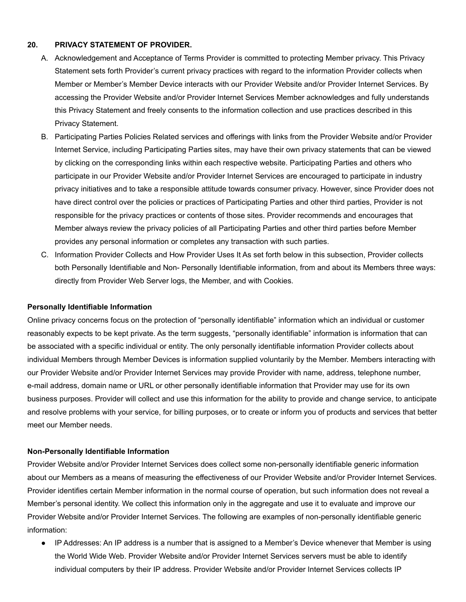## **20. PRIVACY STATEMENT OF PROVIDER.**

- A. Acknowledgement and Acceptance of Terms Provider is committed to protecting Member privacy. This Privacy Statement sets forth Provider's current privacy practices with regard to the information Provider collects when Member or Member's Member Device interacts with our Provider Website and/or Provider Internet Services. By accessing the Provider Website and/or Provider Internet Services Member acknowledges and fully understands this Privacy Statement and freely consents to the information collection and use practices described in this Privacy Statement.
- B. Participating Parties Policies Related services and offerings with links from the Provider Website and/or Provider Internet Service, including Participating Parties sites, may have their own privacy statements that can be viewed by clicking on the corresponding links within each respective website. Participating Parties and others who participate in our Provider Website and/or Provider Internet Services are encouraged to participate in industry privacy initiatives and to take a responsible attitude towards consumer privacy. However, since Provider does not have direct control over the policies or practices of Participating Parties and other third parties, Provider is not responsible for the privacy practices or contents of those sites. Provider recommends and encourages that Member always review the privacy policies of all Participating Parties and other third parties before Member provides any personal information or completes any transaction with such parties.
- C. Information Provider Collects and How Provider Uses It As set forth below in this subsection, Provider collects both Personally Identifiable and Non- Personally Identifiable information, from and about its Members three ways: directly from Provider Web Server logs, the Member, and with Cookies.

## **Personally Identifiable Information**

Online privacy concerns focus on the protection of "personally identifiable" information which an individual or customer reasonably expects to be kept private. As the term suggests, "personally identifiable" information is information that can be associated with a specific individual or entity. The only personally identifiable information Provider collects about individual Members through Member Devices is information supplied voluntarily by the Member. Members interacting with our Provider Website and/or Provider Internet Services may provide Provider with name, address, telephone number, e-mail address, domain name or URL or other personally identifiable information that Provider may use for its own business purposes. Provider will collect and use this information for the ability to provide and change service, to anticipate and resolve problems with your service, for billing purposes, or to create or inform you of products and services that better meet our Member needs.

## **Non-Personally Identifiable Information**

Provider Website and/or Provider Internet Services does collect some non-personally identifiable generic information about our Members as a means of measuring the effectiveness of our Provider Website and/or Provider Internet Services. Provider identifies certain Member information in the normal course of operation, but such information does not reveal a Member's personal identity. We collect this information only in the aggregate and use it to evaluate and improve our Provider Website and/or Provider Internet Services. The following are examples of non-personally identifiable generic information:

● IP Addresses: An IP address is a number that is assigned to a Member's Device whenever that Member is using the World Wide Web. Provider Website and/or Provider Internet Services servers must be able to identify individual computers by their IP address. Provider Website and/or Provider Internet Services collects IP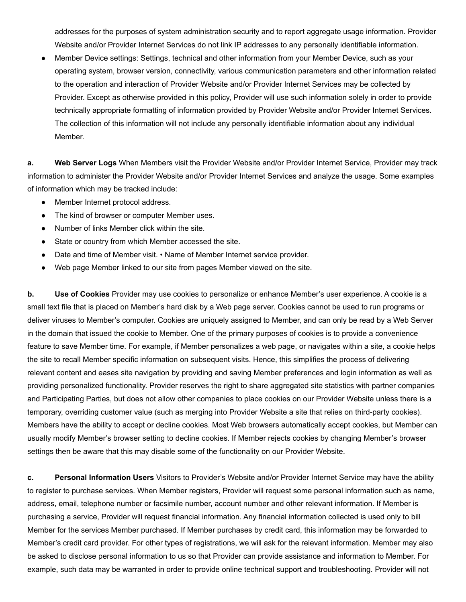addresses for the purposes of system administration security and to report aggregate usage information. Provider Website and/or Provider Internet Services do not link IP addresses to any personally identifiable information.

Member Device settings: Settings, technical and other information from your Member Device, such as your operating system, browser version, connectivity, various communication parameters and other information related to the operation and interaction of Provider Website and/or Provider Internet Services may be collected by Provider. Except as otherwise provided in this policy, Provider will use such information solely in order to provide technically appropriate formatting of information provided by Provider Website and/or Provider Internet Services. The collection of this information will not include any personally identifiable information about any individual Member.

**a. Web Server Logs** When Members visit the Provider Website and/or Provider Internet Service, Provider may track information to administer the Provider Website and/or Provider Internet Services and analyze the usage. Some examples of information which may be tracked include:

- Member Internet protocol address.
- The kind of browser or computer Member uses.
- Number of links Member click within the site.
- State or country from which Member accessed the site.
- Date and time of Member visit. Name of Member Internet service provider.
- Web page Member linked to our site from pages Member viewed on the site.

**b. Use of Cookies** Provider may use cookies to personalize or enhance Member's user experience. A cookie is a small text file that is placed on Member's hard disk by a Web page server. Cookies cannot be used to run programs or deliver viruses to Member's computer. Cookies are uniquely assigned to Member, and can only be read by a Web Server in the domain that issued the cookie to Member. One of the primary purposes of cookies is to provide a convenience feature to save Member time. For example, if Member personalizes a web page, or navigates within a site, a cookie helps the site to recall Member specific information on subsequent visits. Hence, this simplifies the process of delivering relevant content and eases site navigation by providing and saving Member preferences and login information as well as providing personalized functionality. Provider reserves the right to share aggregated site statistics with partner companies and Participating Parties, but does not allow other companies to place cookies on our Provider Website unless there is a temporary, overriding customer value (such as merging into Provider Website a site that relies on third-party cookies). Members have the ability to accept or decline cookies. Most Web browsers automatically accept cookies, but Member can usually modify Member's browser setting to decline cookies. If Member rejects cookies by changing Member's browser settings then be aware that this may disable some of the functionality on our Provider Website.

**c. Personal Information Users** Visitors to Provider's Website and/or Provider Internet Service may have the ability to register to purchase services. When Member registers, Provider will request some personal information such as name, address, email, telephone number or facsimile number, account number and other relevant information. If Member is purchasing a service, Provider will request financial information. Any financial information collected is used only to bill Member for the services Member purchased. If Member purchases by credit card, this information may be forwarded to Member's credit card provider. For other types of registrations, we will ask for the relevant information. Member may also be asked to disclose personal information to us so that Provider can provide assistance and information to Member. For example, such data may be warranted in order to provide online technical support and troubleshooting. Provider will not